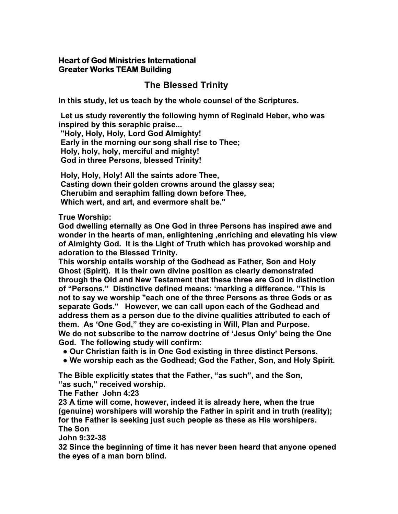### **Heart of God Ministries International Greater Works TEAM Building**

# **The Blessed Trinity**

**In this study, let us teach by the whole counsel of the Scriptures.** 

 **Let us study reverently the following hymn of Reginald Heber, who was inspired by this seraphic praise...** 

 **"Holy, Holy, Holy, Lord God Almighty! Early in the morning our song shall rise to Thee; Holy, holy, holy, merciful and mighty! God in three Persons, blessed Trinity!** 

 **Holy, Holy, Holy! All the saints adore Thee, Casting down their golden crowns around the glassy sea; Cherubim and seraphim falling down before Thee, Which wert, and art, and evermore shalt be."** 

## **True Worship:**

**God dwelling eternally as One God in three Persons has inspired awe and wonder in the hearts of man, enlightening ,enriching and elevating his view of Almighty God. It is the Light of Truth which has provoked worship and adoration to the Blessed Trinity.** 

**This worship entails worship of the Godhead as Father, Son and Holy Ghost (Spirit). It is their own divine position as clearly demonstrated through the Old and New Testament that these three are God in distinction of "Persons." Distinctive defined means: 'marking a difference. "This is not to say we worship "each one of the three Persons as three Gods or as separate Gods." However, we can call upon each of the Godhead and address them as a person due to the divine qualities attributed to each of them. As 'One God," they are co-existing in Will, Plan and Purpose. We do not subscribe to the narrow doctrine of 'Jesus Only' being the One God. The following study will confirm:** 

 **● Our Christian faith is in One God existing in three distinct Persons.** 

 **● We worship each as the Godhead; God the Father, Son, and Holy Spirit.** 

**The Bible explicitly states that the Father, "as such", and the Son, "as such," received worship.** 

**The Father John 4:23** 

**23 A time will come, however, indeed it is already here, when the true (genuine) worshipers will worship the Father in spirit and in truth (reality); for the Father is seeking just such people as these as His worshipers. The Son** 

**John 9:32-38** 

**32 Since the beginning of time it has never been heard that anyone opened the eyes of a man born blind.**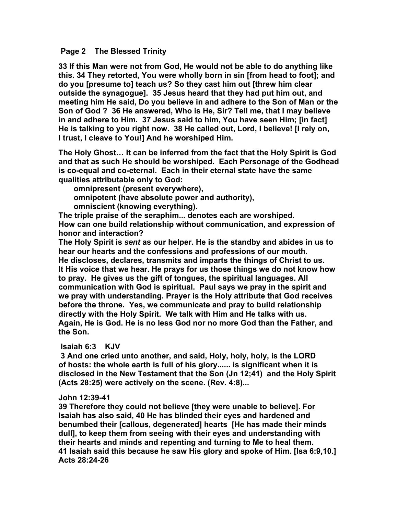#### **Page 2 The Blessed Trinity**

**33 If this Man were not from God, He would not be able to do anything like this. 34 They retorted, You were wholly born in sin [from head to foot]; and do you [presume to] teach us? So they cast him out [threw him clear outside the synagogue]. 35 Jesus heard that they had put him out, and meeting him He said, Do you believe in and adhere to the Son of Man or the Son of God ? 36 He answered, Who is He, Sir? Tell me, that I may believe in and adhere to Him. 37 Jesus said to him, You have seen Him; [in fact] He is talking to you right now. 38 He called out, Lord, I believe! [I rely on, I trust, I cleave to You!] And he worshiped Him.** 

**The Holy Ghost… It can be inferred from the fact that the Holy Spirit is God and that as such He should be worshiped. Each Personage of the Godhead is co-equal and co-eternal. Each in their eternal state have the same qualities attributable only to God:** 

 **omnipresent (present everywhere), omnipotent (have absolute power and authority), omniscient (knowing everything).** 

**The triple praise of the seraphim... denotes each are worshiped. How can one build relationship without communication, and expression of honor and interaction?** 

**The Holy Spirit is** *sent* **as our helper. He is the standby and abides in us to hear our hearts and the confessions and professions of our mouth. He discloses, declares, transmits and imparts the things of Christ to us. It His voice that we hear. He prays for us those things we do not know how to pray. He gives us the gift of tongues, the spiritual languages. All communication with God is spiritual. Paul says we pray in the spirit and we pray with understanding. Prayer is the Holy attribute that God receives before the throne. Yes, we communicate and pray to build relationship directly with the Holy Spirit. We talk with Him and He talks with us. Again, He is God. He is no less God nor no more God than the Father, and the Son.** 

### **Isaiah 6:3 KJV**

 **3 And one cried unto another, and said, Holy, holy, holy, is the LORD of hosts: the whole earth is full of his glory...... is significant when it is disclosed in the New Testament that the Son (Jn 12;41) and the Holy Spirit (Acts 28:25) were actively on the scene. (Rev. 4:8)...** 

#### **John 12:39-41**

**39 Therefore they could not believe [they were unable to believe]. For Isaiah has also said, 40 He has blinded their eyes and hardened and benumbed their [callous, degenerated] hearts [He has made their minds dull], to keep them from seeing with their eyes and understanding with their hearts and minds and repenting and turning to Me to heal them. 41 Isaiah said this because he saw His glory and spoke of Him. [Isa 6:9,10.] Acts 28:24-26**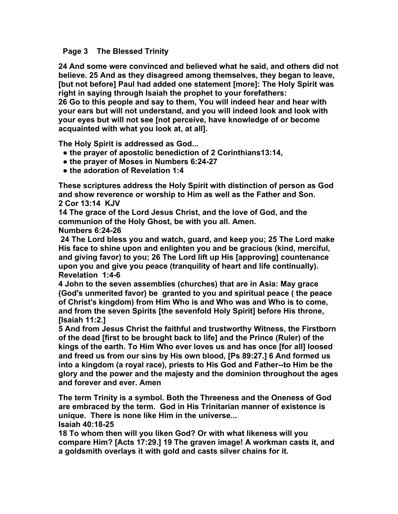#### **Page 3 The Blessed Trinity**

**24 And some were convinced and believed what he said, and others did not believe. 25 And as they disagreed among themselves, they began to leave, [but not before] Paul had added one statement [more]: The Holy Spirit was right in saying through Isaiah the prophet to your forefathers: 26 Go to this people and say to them, You will indeed hear and hear with your ears but will not understand, and you will indeed look and look with your eyes but will not see [not perceive, have knowledge of or become** 

**The Holy Spirit is addressed as God...** 

**acquainted with what you look at, at all].** 

- **● the prayer of apostolic benediction of 2 Corinthians13:14,**
- **● the prayer of Moses in Numbers 6:24-27**
- **● the adoration of Revelation 1:4**

**These scriptures address the Holy Spirit with distinction of person as God and show reverence or worship to Him as well as the Father and Son. 2 Cor 13:14 KJV** 

**14 The grace of the Lord Jesus Christ, and the love of God, and the communion of the Holy Ghost, be with you all. Amen.** 

#### **Numbers 6:24-26**

 **24 The Lord bless you and watch, guard, and keep you; 25 The Lord make His face to shine upon and enlighten you and be gracious (kind, merciful, and giving favor) to you; 26 The Lord lift up His [approving] countenance upon you and give you peace (tranquility of heart and life continually). Revelation 1:4-6** 

**4 John to the seven assemblies (churches) that are in Asia: May grace (God's unmerited favor) be granted to you and spiritual peace ( the peace of Christ's kingdom) from Him Who is and Who was and Who is to come, and from the seven Spirits [the sevenfold Holy Spirit] before His throne, [Isaiah 11:2.]** 

**5 And from Jesus Christ the faithful and trustworthy Witness, the Firstborn of the dead [first to be brought back to life] and the Prince (Ruler) of the kings of the earth. To Him Who ever loves us and has once [for all] loosed and freed us from our sins by His own blood, [Ps 89:27.] 6 And formed us into a kingdom (a royal race), priests to His God and Father--to Him be the glory and the power and the majesty and the dominion throughout the ages and forever and ever. Amen** 

**The term Trinity is a symbol. Both the Threeness and the Oneness of God are embraced by the term. God in His Trinitarian manner of existence is unique. There is none like Him in the universe... Isaiah 40:18-25** 

**18 To whom then will you liken God? Or with what likeness will you compare Him? [Acts 17:29.] 19 The graven image! A workman casts it, and a goldsmith overlays it with gold and casts silver chains for it.**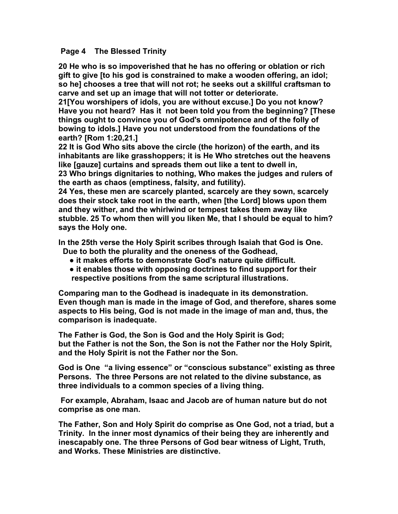#### **Page 4 The Blessed Trinity**

**20 He who is so impoverished that he has no offering or oblation or rich gift to give [to his god is constrained to make a wooden offering, an idol; so he] chooses a tree that will not rot; he seeks out a skillful craftsman to carve and set up an image that will not totter or deteriorate.** 

**21[You worshipers of idols, you are without excuse.] Do you not know? Have you not heard? Has it not been told you from the beginning? [These things ought to convince you of God's omnipotence and of the folly of bowing to idols.] Have you not understood from the foundations of the earth? [Rom 1:20,21.]** 

**22 It is God Who sits above the circle (the horizon) of the earth, and its inhabitants are like grasshoppers; it is He Who stretches out the heavens like [gauze] curtains and spreads them out like a tent to dwell in,** 

**23 Who brings dignitaries to nothing, Who makes the judges and rulers of the earth as chaos (emptiness, falsity, and futility).** 

**24 Yes, these men are scarcely planted, scarcely are they sown, scarcely does their stock take root in the earth, when [the Lord] blows upon them and they wither, and the whirlwind or tempest takes them away like stubble. 25 To whom then will you liken Me, that I should be equal to him? says the Holy one.** 

**In the 25th verse the Holy Spirit scribes through Isaiah that God is One.** 

 **Due to both the plurality and the oneness of the Godhead,** 

- **● it makes efforts to demonstrate God's nature quite difficult.**
- **● it enables those with opposing doctrines to find support for their respective positions from the same scriptural illustrations.**

**Comparing man to the Godhead is inadequate in its demonstration. Even though man is made in the image of God, and therefore, shares some aspects to His being, God is not made in the image of man and, thus, the comparison is inadequate.** 

**The Father is God, the Son is God and the Holy Spirit is God; but the Father is not the Son, the Son is not the Father nor the Holy Spirit, and the Holy Spirit is not the Father nor the Son.** 

**God is One "a living essence" or "conscious substance" existing as three Persons. The three Persons are not related to the divine substance, as three individuals to a common species of a living thing.** 

 **For example, Abraham, Isaac and Jacob are of human nature but do not comprise as one man.** 

**The Father, Son and Holy Spirit do comprise as One God, not a triad, but a Trinity. In the inner most dynamics of their being they are inherently and inescapably one. The three Persons of God bear witness of Light, Truth, and Works. These Ministries are distinctive.**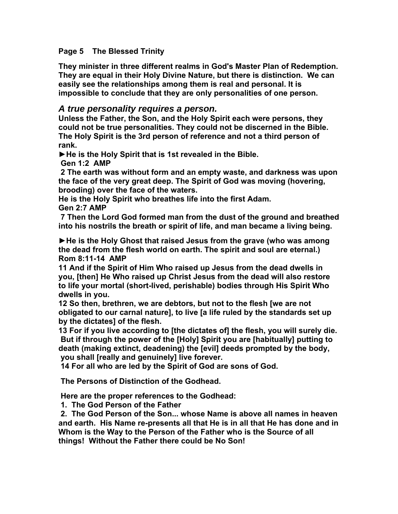### **Page 5 The Blessed Trinity**

**They minister in three different realms in God's Master Plan of Redemption. They are equal in their Holy Divine Nature, but there is distinction. We can easily see the relationships among them is real and personal. It is impossible to conclude that they are only personalities of one person.** 

# *A true personality requires a person.*

**Unless the Father, the Son, and the Holy Spirit each were persons, they could not be true personalities. They could not be discerned in the Bible. The Holy Spirit is the 3rd person of reference and not a third person of rank.** 

**►He is the Holy Spirit that is 1st revealed in the Bible.** 

 **Gen 1:2 AMP** 

 **2 The earth was without form and an empty waste, and darkness was upon the face of the very great deep. The Spirit of God was moving (hovering, brooding) over the face of the waters.** 

**He is the Holy Spirit who breathes life into the first Adam.** 

**Gen 2:7 AMP** 

 **7 Then the Lord God formed man from the dust of the ground and breathed into his nostrils the breath or spirit of life, and man became a living being.** 

**►He is the Holy Ghost that raised Jesus from the grave (who was among the dead from the flesh world on earth. The spirit and soul are eternal.) Rom 8:11-14 AMP** 

**11 And if the Spirit of Him Who raised up Jesus from the dead dwells in you, [then] He Who raised up Christ Jesus from the dead will also restore to life your mortal (short-lived, perishable) bodies through His Spirit Who dwells in you.** 

**12 So then, brethren, we are debtors, but not to the flesh [we are not obligated to our carnal nature], to live [a life ruled by the standards set up by the dictates] of the flesh.** 

**13 For if you live according to [the dictates of] the flesh, you will surely die. But if through the power of the [Holy] Spirit you are [habitually] putting to death (making extinct, deadening) the [evil] deeds prompted by the body, you shall [really and genuinely] live forever.** 

 **14 For all who are led by the Spirit of God are sons of God.** 

 **The Persons of Distinction of the Godhead.** 

 **Here are the proper references to the Godhead:** 

 **1. The God Person of the Father** 

 **2. The God Person of the Son... whose Name is above all names in heaven and earth. His Name re-presents all that He is in all that He has done and in Whom is the Way to the Person of the Father who is the Source of all things! Without the Father there could be No Son!**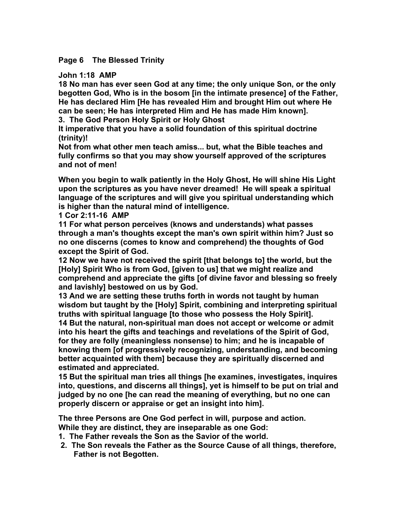### **Page 6 The Blessed Trinity**

#### **John 1:18 AMP**

**18 No man has ever seen God at any time; the only unique Son, or the only begotten God, Who is in the bosom [in the intimate presence] of the Father, He has declared Him [He has revealed Him and brought Him out where He can be seen; He has interpreted Him and He has made Him known].** 

**3. The God Person Holy Spirit or Holy Ghost** 

**It imperative that you have a solid foundation of this spiritual doctrine (trinity)!** 

**Not from what other men teach amiss... but, what the Bible teaches and fully confirms so that you may show yourself approved of the scriptures and not of men!** 

**When you begin to walk patiently in the Holy Ghost, He will shine His Light upon the scriptures as you have never dreamed! He will speak a spiritual language of the scriptures and will give you spiritual understanding which is higher than the natural mind of intelligence.** 

**1 Cor 2:11-16 AMP** 

**11 For what person perceives (knows and understands) what passes through a man's thoughts except the man's own spirit within him? Just so no one discerns (comes to know and comprehend) the thoughts of God except the Spirit of God.** 

**12 Now we have not received the spirit [that belongs to] the world, but the [Holy] Spirit Who is from God, [given to us] that we might realize and comprehend and appreciate the gifts [of divine favor and blessing so freely and lavishly] bestowed on us by God.** 

**13 And we are setting these truths forth in words not taught by human wisdom but taught by the [Holy] Spirit, combining and interpreting spiritual truths with spiritual language [to those who possess the Holy Spirit]. 14 But the natural, non-spiritual man does not accept or welcome or admit into his heart the gifts and teachings and revelations of the Spirit of God, for they are folly (meaningless nonsense) to him; and he is incapable of knowing them [of progressively recognizing, understanding, and becoming better acquainted with them] because they are spiritually discerned and estimated and appreciated.** 

**15 But the spiritual man tries all things [he examines, investigates, inquires into, questions, and discerns all things], yet is himself to be put on trial and judged by no one [he can read the meaning of everything, but no one can properly discern or appraise or get an insight into him].** 

**The three Persons are One God perfect in will, purpose and action. While they are distinct, they are inseparable as one God:** 

- **1. The Father reveals the Son as the Savior of the world.**
- **2. The Son reveals the Father as the Source Cause of all things, therefore, Father is not Begotten.**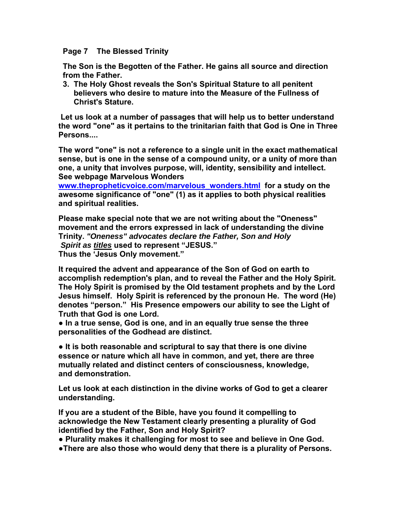**Page 7 The Blessed Trinity** 

 **The Son is the Begotten of the Father. He gains all source and direction from the Father.** 

 **3. The Holy Ghost reveals the Son's Spiritual Stature to all penitent believers who desire to mature into the Measure of the Fullness of Christ's Stature.** 

 **Let us look at a number of passages that will help us to better understand the word "one" as it pertains to the trinitarian faith that God is One in Three Persons....** 

**The word "one" is not a reference to a single unit in the exact mathematical sense, but is one in the sense of a compound unity, or a unity of more than one, a unity that involves purpose, will, identity, sensibility and intellect. See webpage Marvelous Wonders** 

**[www.thepropheticvoice.com/marvelous\\_wonders.html](http://www.thepropheticvoice.com/marvelous_wonders.html) for a study on the awesome significance of "one" (1) as it applies to both physical realities and spiritual realities.** 

**Please make special note that we are not writing about the "Oneness" movement and the errors expressed in lack of understanding the divine Trinity.** *"Oneness" advocates declare the Father, Son and Holy Spirit as titles* **used to represent "JESUS." Thus the 'Jesus Only movement."** 

**It required the advent and appearance of the Son of God on earth to accomplish redemption's plan, and to reveal the Father and the Holy Spirit. The Holy Spirit is promised by the Old testament prophets and by the Lord Jesus himself. Holy Spirit is referenced by the pronoun He. The word (He) denotes "person." His Presence empowers our ability to see the Light of Truth that God is one Lord.** 

**● In a true sense, God is one, and in an equally true sense the three personalities of the Godhead are distinct.** 

**● It is both reasonable and scriptural to say that there is one divine essence or nature which all have in common, and yet, there are three mutually related and distinct centers of consciousness, knowledge, and demonstration.** 

**Let us look at each distinction in the divine works of God to get a clearer understanding.** 

**If you are a student of the Bible, have you found it compelling to acknowledge the New Testament clearly presenting a plurality of God identified by the Father, Son and Holy Spirit?** 

**● Plurality makes it challenging for most to see and believe in One God.** 

**●There are also those who would deny that there is a plurality of Persons.**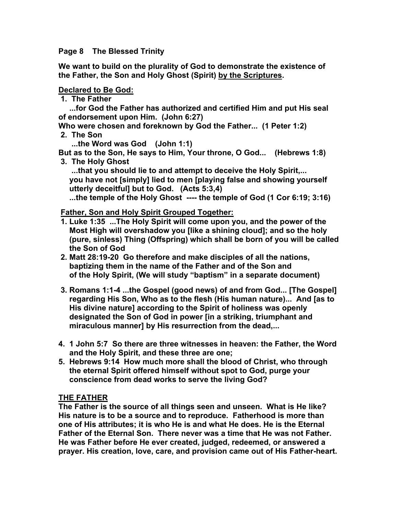#### **Page 8 The Blessed Trinity**

**We want to build on the plurality of God to demonstrate the existence of the Father, the Son and Holy Ghost (Spirit) by the Scriptures.** 

#### **Declared to Be God:**

 **1. The Father** 

 **...for God the Father has authorized and certified Him and put His seal of endorsement upon Him. (John 6:27)** 

**Who were chosen and foreknown by God the Father... (1 Peter 1:2)** 

 **2. The Son** 

 **...the Word was God (John 1:1)** 

**But as to the Son, He says to Him, Your throne, O God... (Hebrews 1:8) 3. The Holy Ghost** 

 **...that you should lie to and attempt to deceive the Holy Spirit,... you have not [simply] lied to men [playing false and showing yourself utterly deceitful] but to God. (Acts 5:3,4)** 

 **...the temple of the Holy Ghost ---- the temple of God (1 Cor 6:19; 3:16)** 

#### **Father, Son and Holy Spirit Grouped Together:**

- **1. Luke 1:35 ...The Holy Spirit will come upon you, and the power of the Most High will overshadow you [like a shining cloud]; and so the holy (pure, sinless) Thing (Offspring) which shall be born of you will be called the Son of God**
- **2. Matt 28:19-20 Go therefore and make disciples of all the nations, baptizing them in the name of the Father and of the Son and of the Holy Spirit, (We will study "baptism" in a separate document)**
- **3. Romans 1:1-4 ...the Gospel (good news) of and from God... [The Gospel] regarding His Son, Who as to the flesh (His human nature)... And [as to His divine nature] according to the Spirit of holiness was openly designated the Son of God in power [in a striking, triumphant and miraculous manner] by His resurrection from the dead,...**
- **4. 1 John 5:7 So there are three witnesses in heaven: the Father, the Word and the Holy Spirit, and these three are one;**
- **5. Hebrews 9:14 How much more shall the blood of Christ, who through the eternal Spirit offered himself without spot to God, purge your conscience from dead works to serve the living God?**

### **THE FATHER**

**The Father is the source of all things seen and unseen. What is He like? His nature is to be a source and to reproduce. Fatherhood is more than one of His attributes; it is who He is and what He does. He is the Eternal Father of the Eternal Son. There never was a time that He was not Father. He was Father before He ever created, judged, redeemed, or answered a prayer. His creation, love, care, and provision came out of His Father-heart.**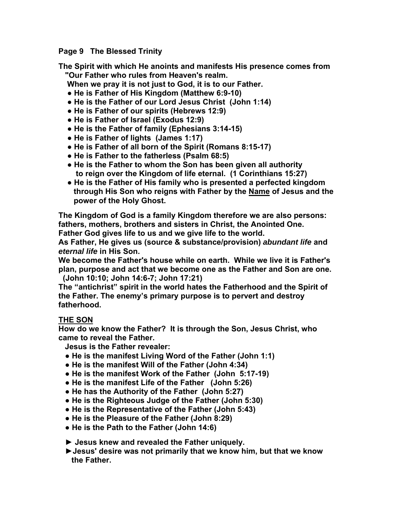**Page 9 The Blessed Trinity** 

**The Spirit with which He anoints and manifests His presence comes from "Our Father who rules from Heaven's realm.** 

- **When we pray it is not just to God, it is to our Father.**
- **● He is Father of His Kingdom (Matthew 6:9-10)**
- **● He is the Father of our Lord Jesus Christ (John 1:14)**
- **● He is Father of our spirits (Hebrews 12:9)**
- **● He is Father of Israel (Exodus 12:9)**
- **● He is the Father of family (Ephesians 3:14-15)**
- **● He is Father of lights (James 1:17)**
- **● He is Father of all born of the Spirit (Romans 8:15-17)**
- **● He is Father to the fatherless (Psalm 68:5)**
- **● He is the Father to whom the Son has been given all authority to reign over the Kingdom of life eternal. (1 Corinthians 15:27)**
- **● He is the Father of His family who is presented a perfected kingdom through His Son who reigns with Father by the Name of Jesus and the power of the Holy Ghost.**

**The Kingdom of God is a family Kingdom therefore we are also persons: fathers, mothers, brothers and sisters in Christ, the Anointed One. Father God gives life to us and we give life to the world.** 

**As Father, He gives us (source & substance/provision)** *abundant life* **and**  *eternal life* **in His Son.** 

**We become the Father's house while on earth. While we live it is Father's plan, purpose and act that we become one as the Father and Son are one. (John 10:10; John 14:6-7; John 17:21)** 

**The "antichrist" spirit in the world hates the Fatherhood and the Spirit of the Father. The enemy's primary purpose is to pervert and destroy fatherhood.** 

# **THE SON**

**How do we know the Father? It is through the Son, Jesus Christ, who came to reveal the Father.** 

 **Jesus is the Father revealer:** 

- **● He is the manifest Living Word of the Father (John 1:1)**
- **● He is the manifest Will of the Father (John 4:34)**
- **● He is the manifest Work of the Father (John 5:17-19)**
- **● He is the manifest Life of the Father (John 5:26)**
- **● He has the Authority of the Father (John 5:27)**
- **● He is the Righteous Judge of the Father (John 5:30)**
- **● He is the Representative of the Father (John 5:43)**
- **● He is the Pleasure of the Father (John 8:29)**
- **● He is the Path to the Father (John 14:6)**

 **► Jesus knew and revealed the Father uniquely.** 

 **►Jesus' desire was not primarily that we know him, but that we know the Father.**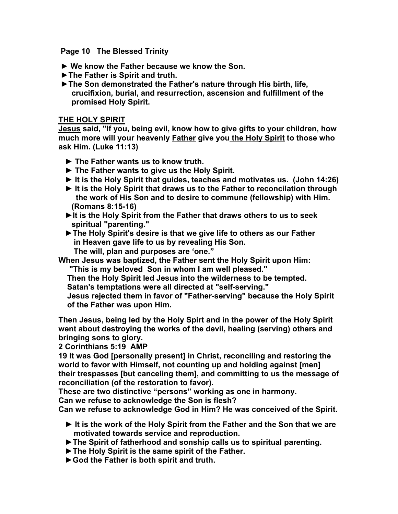**Page 10 The Blessed Trinity** 

- **► We know the Father because we know the Son.**
- **►The Father is Spirit and truth.**
- **►The Son demonstrated the Father's nature through His birth, life, crucifixion, burial, and resurrection, ascension and fulfillment of the promised Holy Spirit.**

#### **THE HOLY SPIRIT**

**Jesus said, "If you, being evil, know how to give gifts to your children, how much more will your heavenly Father give you the Holy Spirit to those who ask Him. (Luke 11:13)** 

- **► The Father wants us to know truth.**
- **► The Father wants to give us the Holy Spirit.**
- **► It is the Holy Spirit that guides, teaches and motivates us. (John 14:26)**
- **► It is the Holy Spirit that draws us to the Father to reconcilation through the work of His Son and to desire to commune (fellowship) with Him. (Romans 8:15-16)**
- **►It is the Holy Spirit from the Father that draws others to us to seek spiritual "parenting."**
- **►The Holy Spirit's desire is that we give life to others as our Father in Heaven gave life to us by revealing His Son. The will, plan and purposes are 'one."**
- **When Jesus was baptized, the Father sent the Holy Spirit upon Him: "This is my beloved Son in whom I am well pleased."**

 **Then the Holy Spirit led Jesus into the wilderness to be tempted. Satan's temptations were all directed at "self-serving."** 

 **Jesus rejected them in favor of "Father-serving" because the Holy Spirit of the Father was upon Him.** 

**Then Jesus, being led by the Holy Spirt and in the power of the Holy Spirit went about destroying the works of the devil, healing (serving) others and bringing sons to glory.** 

**2 Corinthians 5:19 AMP** 

**19 It was God [personally present] in Christ, reconciling and restoring the world to favor with Himself, not counting up and holding against [men] their trespasses [but canceling them], and committing to us the message of reconciliation (of the restoration to favor).** 

**These are two distinctive "persons" working as one in harmony.** 

**Can we refuse to acknowledge the Son is flesh?** 

**Can we refuse to acknowledge God in Him? He was conceived of the Spirit.** 

- **► It is the work of the Holy Spirit from the Father and the Son that we are motivated towards service and reproduction.**
- **►The Spirit of fatherhood and sonship calls us to spiritual parenting.**
- **►The Holy Spirit is the same spirit of the Father.**
- **►God the Father is both spirit and truth.**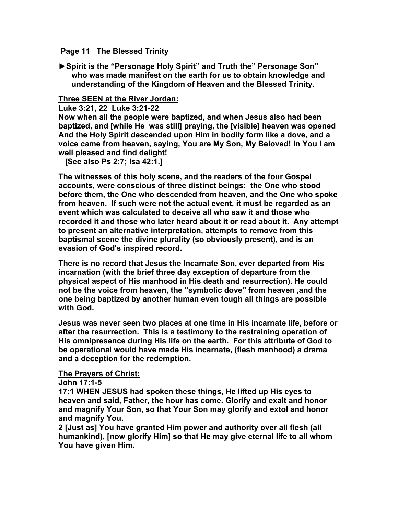#### **Page 11 The Blessed Trinity**

**►Spirit is the "Personage Holy Spirit" and Truth the" Personage Son" who was made manifest on the earth for us to obtain knowledge and understanding of the Kingdom of Heaven and the Blessed Trinity.** 

### **Three SEEN at the River Jordan:**

**Luke 3:21, 22 Luke 3:21-22** 

**Now when all the people were baptized, and when Jesus also had been baptized, and [while He was still] praying, the [visible] heaven was opened And the Holy Spirit descended upon Him in bodily form like a dove, and a voice came from heaven, saying, You are My Son, My Beloved! In You I am well pleased and find delight!** 

 **[See also Ps 2:7; Isa 42:1.]** 

**The witnesses of this holy scene, and the readers of the four Gospel accounts, were conscious of three distinct beings: the One who stood before them, the One who descended from heaven, and the One who spoke from heaven. If such were not the actual event, it must be regarded as an event which was calculated to deceive all who saw it and those who recorded it and those who later heard about it or read about it. Any attempt to present an alternative interpretation, attempts to remove from this baptismal scene the divine plurality (so obviously present), and is an evasion of God's inspired record.** 

**There is no record that Jesus the Incarnate Son, ever departed from His incarnation (with the brief three day exception of departure from the physical aspect of His manhood in His death and resurrection). He could not be the voice from heaven, the "symbolic dove" from heaven ,and the one being baptized by another human even tough all things are possible with God.** 

**Jesus was never seen two places at one time in His incarnate life, before or after the resurrection. This is a testimony to the restraining operation of His omnipresence during His life on the earth. For this attribute of God to be operational would have made His incarnate, (flesh manhood) a drama and a deception for the redemption.** 

#### **The Prayers of Christ:**

**John 17:1-5** 

**17:1 WHEN JESUS had spoken these things, He lifted up His eyes to heaven and said, Father, the hour has come. Glorify and exalt and honor and magnify Your Son, so that Your Son may glorify and extol and honor and magnify You.** 

**2 [Just as] You have granted Him power and authority over all flesh (all humankind), [now glorify Him] so that He may give eternal life to all whom You have given Him.**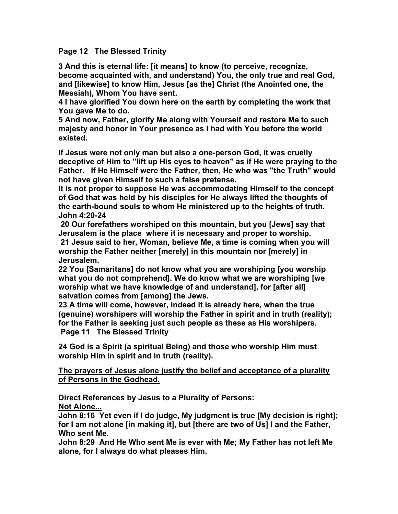**Page 12 The Blessed Trinity** 

**3 And this is eternal life: [it means] to know (to perceive, recognize, become acquainted with, and understand) You, the only true and real God, and [likewise] to know Him, Jesus [as the] Christ (the Anointed one, the Messiah), Whom You have sent.** 

**4 I have glorified You down here on the earth by completing the work that You gave Me to do.** 

**5 And now, Father, glorify Me along with Yourself and restore Me to such majesty and honor in Your presence as I had with You before the world existed.** 

**If Jesus were not only man but also a one-person God, it was cruelly deceptive of Him to "lift up His eyes to heaven" as if He were praying to the Father. If He Himself were the Father, then, He who was "the Truth" would not have given Himself to such a false pretense.** 

**It is not proper to suppose He was accommodating Himself to the concept of God that was held by his disciples for He always lifted the thoughts of the earth-bound souls to whom He ministered up to the heights of truth. John 4:20-24** 

 **20 Our forefathers worshiped on this mountain, but you [Jews] say that Jerusalem is the place where it is necessary and proper to worship. 21 Jesus said to her, Woman, believe Me, a time is coming when you will worship the Father neither [merely] in this mountain nor [merely] in Jerusalem.** 

**22 You [Samaritans] do not know what you are worshiping [you worship what you do not comprehend]. We do know what we are worshiping [we worship what we have knowledge of and understand], for [after all] salvation comes from [among] the Jews.** 

**23 A time will come, however, indeed it is already here, when the true (genuine) worshipers will worship the Father in spirit and in truth (reality); for the Father is seeking just such people as these as His worshipers. Page 11 The Blessed Trinity** 

**24 God is a Spirit (a spiritual Being) and those who worship Him must worship Him in spirit and in truth (reality).** 

### **The prayers of Jesus alone justify the belief and acceptance of a plurality of Persons in the Godhead.**

**Direct References by Jesus to a Plurality of Persons: Not Alone...**

**John 8:16 Yet even if I do judge, My judgment is true [My decision is right]; for I am not alone [in making it], but [there are two of Us] I and the Father, Who sent Me.** 

**John 8:29 And He Who sent Me is ever with Me; My Father has not left Me alone, for I always do what pleases Him.**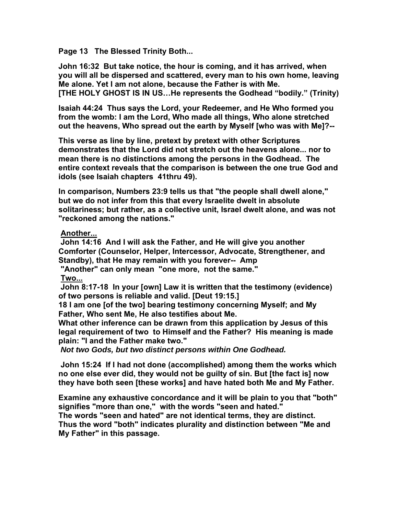**Page 13 The Blessed Trinity Both...** 

**John 16:32 But take notice, the hour is coming, and it has arrived, when you will all be dispersed and scattered, every man to his own home, leaving Me alone. Yet I am not alone, because the Father is with Me. [THE HOLY GHOST IS IN US…He represents the Godhead "bodily." (Trinity)** 

**Isaiah 44:24 Thus says the Lord, your Redeemer, and He Who formed you from the womb: I am the Lord, Who made all things, Who alone stretched out the heavens, Who spread out the earth by Myself [who was with Me]?--** 

**This verse as line by line, pretext by pretext with other Scriptures demonstrates that the Lord did not stretch out the heavens alone... nor to mean there is no distinctions among the persons in the Godhead. The entire context reveals that the comparison is between the one true God and idols (see Isaiah chapters 41thru 49).** 

**In comparison, Numbers 23:9 tells us that "the people shall dwell alone," but we do not infer from this that every Israelite dwelt in absolute solitariness; but rather, as a collective unit, Israel dwelt alone, and was not "reckoned among the nations."** 

### **Another...**

 **John 14:16 And I will ask the Father, and He will give you another Comforter (Counselor, Helper, Intercessor, Advocate, Strengthener, and Standby), that He may remain with you forever-- Amp** 

 **"Another" can only mean "one more, not the same."** 

**Two...**

 **John 8:17-18 In your [own] Law it is written that the testimony (evidence) of two persons is reliable and valid. [Deut 19:15.]** 

**18 I am one [of the two] bearing testimony concerning Myself; and My Father, Who sent Me, He also testifies about Me.** 

**What other inference can be drawn from this application by Jesus of this legal requirement of two to Himself and the Father? His meaning is made plain: "I and the Father make two."** 

 *Not two Gods, but two distinct persons within One Godhead.* 

 **John 15:24 If I had not done (accomplished) among them the works which no one else ever did, they would not be guilty of sin. But [the fact is] now they have both seen [these works] and have hated both Me and My Father.** 

**Examine any exhaustive concordance and it will be plain to you that "both" signifies "more than one," with the words "seen and hated."** 

**The words "seen and hated" are not identical terms, they are distinct. Thus the word "both" indicates plurality and distinction between "Me and My Father" in this passage.**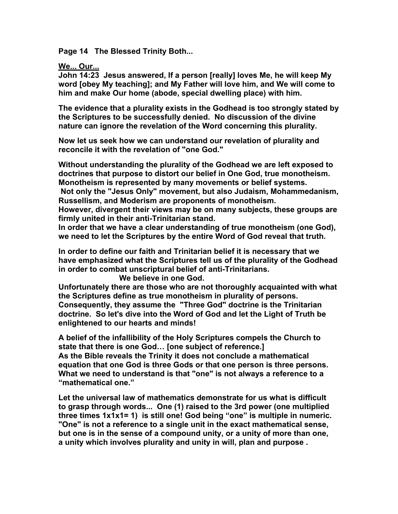**Page 14 The Blessed Trinity Both...** 

**We... Our...**

**John 14:23 Jesus answered, If a person [really] loves Me, he will keep My word [obey My teaching]; and My Father will love him, and We will come to him and make Our home (abode, special dwelling place) with him.** 

**The evidence that a plurality exists in the Godhead is too strongly stated by the Scriptures to be successfully denied. No discussion of the divine nature can ignore the revelation of the Word concerning this plurality.** 

**Now let us seek how we can understand our revelation of plurality and reconcile it with the revelation of "one God."** 

**Without understanding the plurality of the Godhead we are left exposed to doctrines that purpose to distort our belief in One God, true monotheism. Monotheism is represented by many movements or belief systems. Not only the "Jesus Only" movement, but also Judaism, Mohammedanism,** 

**Russellism, and Moderism are proponents of monotheism. However, divergent their views may be on many subjects, these groups are** 

**firmly united in their anti-Trinitarian stand.** 

**In order that we have a clear understanding of true monotheism (one God), we need to let the Scriptures by the entire Word of God reveal that truth.** 

**In order to define our faith and Trinitarian belief it is necessary that we have emphasized what the Scriptures tell us of the plurality of the Godhead in order to combat unscriptural belief of anti-Trinitarians.** 

 **We believe in one God.** 

**Unfortunately there are those who are not thoroughly acquainted with what the Scriptures define as true monotheism in plurality of persons. Consequently, they assume the "Three God" doctrine is the Trinitarian doctrine. So let's dive into the Word of God and let the Light of Truth be enlightened to our hearts and minds!** 

**A belief of the infallibility of the Holy Scriptures compels the Church to state that there is one God… [one subject of reference.] As the Bible reveals the Trinity it does not conclude a mathematical equation that one God is three Gods or that one person is three persons. What we need to understand is that "one" is not always a reference to a "mathematical one."** 

**Let the universal law of mathematics demonstrate for us what is difficult to grasp through words... One (1) raised to the 3rd power (one multiplied three times 1x1x1= 1) is still one! God being "one" is multiple in numeric. "One" is not a reference to a single unit in the exact mathematical sense, but one is in the sense of a compound unity, or a unity of more than one, a unity which involves plurality and unity in will, plan and purpose .**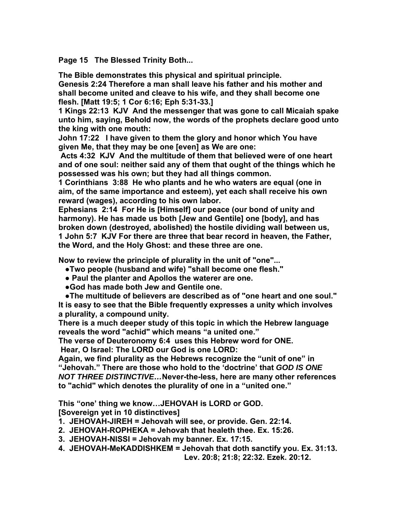**Page 15 The Blessed Trinity Both...** 

**The Bible demonstrates this physical and spiritual principle.** 

**Genesis 2:24 Therefore a man shall leave his father and his mother and shall become united and cleave to his wife, and they shall become one flesh. [Matt 19:5; 1 Cor 6:16; Eph 5:31-33.]** 

**1 Kings 22:13 KJV And the messenger that was gone to call Micaiah spake unto him, saying, Behold now, the words of the prophets declare good unto the king with one mouth:** 

**John 17:22 I have given to them the glory and honor which You have given Me, that they may be one [even] as We are one:** 

 **Acts 4:32 KJV And the multitude of them that believed were of one heart and of one soul: neither said any of them that ought of the things which he possessed was his own; but they had all things common.** 

**1 Corinthians 3:88 He who plants and he who waters are equal (one in aim, of the same importance and esteem), yet each shall receive his own reward (wages), according to his own labor.** 

**Ephesians 2:14 For He is [Himself] our peace (our bond of unity and harmony). He has made us both [Jew and Gentile] one [body], and has broken down (destroyed, abolished) the hostile dividing wall between us, 1 John 5:7 KJV For there are three that bear record in heaven, the Father, the Word, and the Holy Ghost: and these three are one.** 

**Now to review the principle of plurality in the unit of "one"...** 

- **●Two people (husband and wife) "shall become one flesh."**
- **● Paul the planter and Apollos the waterer are one.**
- **●God has made both Jew and Gentile one.**

 **●The multitude of believers are described as of "one heart and one soul." It is easy to see that the Bible frequently expresses a unity which involves a plurality, a compound unity.** 

**There is a much deeper study of this topic in which the Hebrew language reveals the word "achid" which means "a united one."** 

**The verse of Deuteronomy 6:4 uses this Hebrew word for ONE.** 

 **Hear, O Israel: The LORD our God is one LORD:** 

**Again, we find plurality as the Hebrews recognize the "unit of one" in "Jehovah." There are those who hold to the 'doctrine' that** *GOD IS ONE NOT THREE DISTINCTIVE…***Never-the-less, here are many other references to "achid" which denotes the plurality of one in a "united one."** 

**This "one' thing we know…JEHOVAH is LORD or GOD. [Sovereign yet in 10 distinctives]** 

**1. JEHOVAH-JIREH = Jehovah will see, or provide. Gen. 22:14.** 

- **2. JEHOVAH-ROPHEKA = Jehovah that healeth thee. Ex. 15:26.**
- **3. JEHOVAH-NISSI = Jehovah my banner. Ex. 17:15.**
- **4. JEHOVAH-MeKADDISHKEM = Jehovah that doth sanctify you. Ex. 31:13.**

 **Lev. 20:8; 21:8; 22:32. Ezek. 20:12.**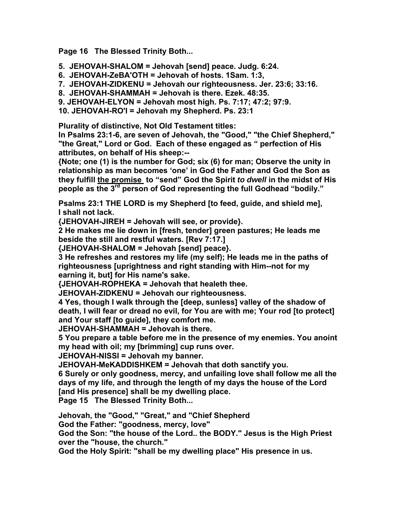**Page 16 The Blessed Trinity Both...** 

- **5. JEHOVAH-SHALOM = Jehovah [send] peace. Judg. 6:24.**
- **6. JEHOVAH-ZeBA'OTH = Jehovah of hosts. 1Sam. 1:3,**
- **7. JEHOVAH-ZIDKENU = Jehovah our righteousness. Jer. 23:6; 33:16.**
- **8. JEHOVAH-SHAMMAH = Jehovah is there. Ezek. 48:35.**
- **9. JEHOVAH-ELYON = Jehovah most high. Ps. 7:17; 47:2; 97:9.**

**10. JEHOVAH-RO'I = Jehovah my Shepherd. Ps. 23:1** 

**Plurality of distinctive, Not Old Testament titles:** 

**In Psalms 23:1-6, are seven of Jehovah, the "Good," "the Chief Shepherd," "the Great," Lord or God. Each of these engaged as " perfection of His attributes, on behalf of His sheep:--** 

**{Note; one (1) is the number for God; six (6) for man; Observe the unity in relationship as man becomes 'one' in God the Father and God the Son as they fulfill the promise to "send" God the Spirit** *to dwell* **in the midst of His people as the 3rd person of God representing the full Godhead "bodily."** 

**Psalms 23:1 THE LORD is my Shepherd [to feed, guide, and shield me], I shall not lack.** 

**{JEHOVAH-JIREH = Jehovah will see, or provide}.** 

**2 He makes me lie down in [fresh, tender] green pastures; He leads me beside the still and restful waters. [Rev 7:17.]** 

**{JEHOVAH-SHALOM = Jehovah [send] peace}.** 

**3 He refreshes and restores my life (my self); He leads me in the paths of righteousness [uprightness and right standing with Him--not for my earning it, but] for His name's sake.** 

**{JEHOVAH-ROPHEKA = Jehovah that healeth thee.** 

**JEHOVAH-ZIDKENU = Jehovah our righteousness.** 

**4 Yes, though I walk through the [deep, sunless] valley of the shadow of death, I will fear or dread no evil, for You are with me; Your rod [to protect] and Your staff [to guide], they comfort me.** 

**JEHOVAH-SHAMMAH = Jehovah is there.** 

**5 You prepare a table before me in the presence of my enemies. You anoint my head with oil; my [brimming] cup runs over.** 

**JEHOVAH-NISSI = Jehovah my banner.** 

**JEHOVAH-MeKADDISHKEM = Jehovah that doth sanctify you.** 

**6 Surely or only goodness, mercy, and unfailing love shall follow me all the days of my life, and through the length of my days the house of the Lord [and His presence] shall be my dwelling place.** 

**Page 15 The Blessed Trinity Both...** 

**Jehovah, the "Good," "Great," and "Chief Shepherd** 

**God the Father: "goodness, mercy, love"** 

**God the Son: "the house of the Lord.. the BODY." Jesus is the High Priest over the "house, the church."** 

**God the Holy Spirit: "shall be my dwelling place" His presence in us.**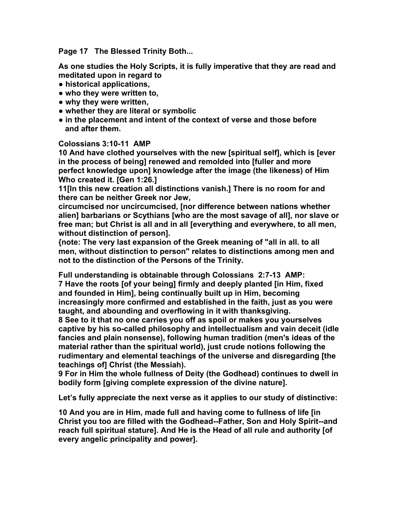**Page 17 The Blessed Trinity Both...** 

**As one studies the Holy Scripts, it is fully imperative that they are read and meditated upon in regard to** 

- **● historical applications,**
- **● who they were written to,**
- **● why they were written,**
- **● whether they are literal or symbolic**
- **● in the placement and intent of the context of verse and those before and after them.**

#### **Colossians 3:10-11 AMP**

**10 And have clothed yourselves with the new [spiritual self], which is [ever in the process of being] renewed and remolded into [fuller and more perfect knowledge upon] knowledge after the image (the likeness) of Him Who created it. [Gen 1:26.]** 

**11[In this new creation all distinctions vanish.] There is no room for and there can be neither Greek nor Jew,** 

**circumcised nor uncircumcised, [nor difference between nations whether alien] barbarians or Scythians [who are the most savage of all], nor slave or free man; but Christ is all and in all [everything and everywhere, to all men, without distinction of person].** 

**{note: The very last expansion of the Greek meaning of "all in all. to all men, without distinction to person" relates to distinctions among men and not to the distinction of the Persons of the Trinity.** 

**Full understanding is obtainable through Colossians 2:7-13 AMP: 7 Have the roots [of your being] firmly and deeply planted [in Him, fixed and founded in Him], being continually built up in Him, becoming increasingly more confirmed and established in the faith, just as you were taught, and abounding and overflowing in it with thanksgiving.** 

**8 See to it that no one carries you off as spoil or makes you yourselves captive by his so-called philosophy and intellectualism and vain deceit (idle fancies and plain nonsense), following human tradition (men's ideas of the material rather than the spiritual world), just crude notions following the rudimentary and elemental teachings of the universe and disregarding [the teachings of] Christ (the Messiah).** 

**9 For in Him the whole fullness of Deity (the Godhead) continues to dwell in bodily form [giving complete expression of the divine nature].** 

**Let's fully appreciate the next verse as it applies to our study of distinctive:** 

**10 And you are in Him, made full and having come to fullness of life [in Christ you too are filled with the Godhead--Father, Son and Holy Spirit--and reach full spiritual stature]. And He is the Head of all rule and authority [of every angelic principality and power].**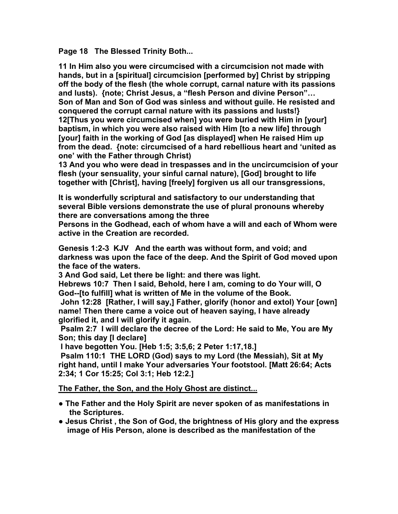**Page 18 The Blessed Trinity Both...** 

**11 In Him also you were circumcised with a circumcision not made with hands, but in a [spiritual] circumcision [performed by] Christ by stripping off the body of the flesh (the whole corrupt, carnal nature with its passions and lusts). {note; Christ Jesus, a "flesh Person and divine Person"… Son of Man and Son of God was sinless and without guile. He resisted and conquered the corrupt carnal nature with its passions and lusts!} 12[Thus you were circumcised when] you were buried with Him in [your] baptism, in which you were also raised with Him [to a new life] through [your] faith in the working of God [as displayed] when He raised Him up from the dead. {note: circumcised of a hard rebellious heart and 'united as one' with the Father through Christ)** 

**13 And you who were dead in trespasses and in the uncircumcision of your flesh (your sensuality, your sinful carnal nature), [God] brought to life together with [Christ], having [freely] forgiven us all our transgressions,** 

**It is wonderfully scriptural and satisfactory to our understanding that several Bible versions demonstrate the use of plural pronouns whereby there are conversations among the three** 

**Persons in the Godhead, each of whom have a will and each of Whom were active in the Creation are recorded.** 

**Genesis 1:2-3 KJV And the earth was without form, and void; and darkness was upon the face of the deep. And the Spirit of God moved upon the face of the waters.** 

**3 And God said, Let there be light: and there was light.** 

**Hebrews 10:7 Then I said, Behold, here I am, coming to do Your will, O God--[to fulfill] what is written of Me in the volume of the Book.** 

 **John 12:28 [Rather, I will say,] Father, glorify (honor and extol) Your [own] name! Then there came a voice out of heaven saying, I have already glorified it, and I will glorify it again.** 

 **Psalm 2:7 I will declare the decree of the Lord: He said to Me, You are My Son; this day [I declare]** 

 **I have begotten You. [Heb 1:5; 3:5,6; 2 Peter 1:17,18.]** 

 **Psalm 110:1 THE LORD (God) says to my Lord (the Messiah), Sit at My right hand, until I make Your adversaries Your footstool. [Matt 26:64; Acts 2:34; 1 Cor 15:25; Col 3:1; Heb 12:2.]** 

**The Father, the Son, and the Holy Ghost are distinct...**

- **● The Father and the Holy Spirit are never spoken of as manifestations in the Scriptures.**
- **● Jesus Christ , the Son of God, the brightness of His glory and the express image of His Person, alone is described as the manifestation of the**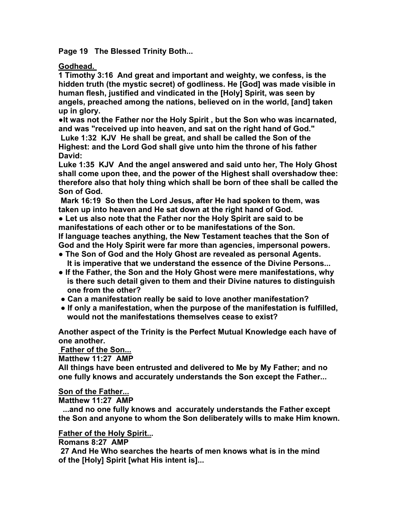**Page 19 The Blessed Trinity Both...** 

**Godhead.** 

**1 Timothy 3:16 And great and important and weighty, we confess, is the hidden truth (the mystic secret) of godliness. He [God] was made visible in human flesh, justified and vindicated in the [Holy] Spirit, was seen by angels, preached among the nations, believed on in the world, [and] taken up in glory.** 

**●It was not the Father nor the Holy Spirit , but the Son who was incarnated, and was "received up into heaven, and sat on the right hand of God." Luke 1:32 KJV He shall be great, and shall be called the Son of the Highest: and the Lord God shall give unto him the throne of his father** 

**David:** 

**Luke 1:35 KJV And the angel answered and said unto her, The Holy Ghost shall come upon thee, and the power of the Highest shall overshadow thee: therefore also that holy thing which shall be born of thee shall be called the Son of God.** 

 **Mark 16:19 So then the Lord Jesus, after He had spoken to them, was taken up into heaven and He sat down at the right hand of God.** 

**● Let us also note that the Father nor the Holy Spirit are said to be manifestations of each other or to be manifestations of the Son.** 

**If language teaches anything, the New Testament teaches that the Son of God and the Holy Spirit were far more than agencies, impersonal powers.** 

- **● The Son of God and the Holy Ghost are revealed as personal Agents. It is imperative that we understand the essence of the Divine Persons...**
- **● If the Father, the Son and the Holy Ghost were mere manifestations, why is there such detail given to them and their Divine natures to distinguish one from the other?**
- **● Can a manifestation really be said to love another manifestation?**
- **● If only a manifestation, when the purpose of the manifestation is fulfilled, would not the manifestations themselves cease to exist?**

**Another aspect of the Trinity is the Perfect Mutual Knowledge each have of one another.** 

 **Father of the Son...**

**Matthew 11:27 AMP** 

**All things have been entrusted and delivered to Me by My Father; and no one fully knows and accurately understands the Son except the Father...** 

# **Son of the Father...**

**Matthew 11:27 AMP** 

 **...and no one fully knows and accurately understands the Father except the Son and anyone to whom the Son deliberately wills to make Him known.** 

# **Father of the Holy Spirit...**

**Romans 8:27 AMP** 

 **27 And He Who searches the hearts of men knows what is in the mind of the [Holy] Spirit [what His intent is]...**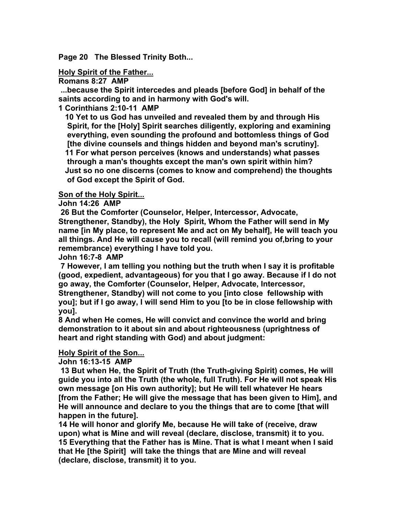**Page 20 The Blessed Trinity Both...** 

### **Holy Spirit of the Father...**

**Romans 8:27 AMP** 

 **...because the Spirit intercedes and pleads [before God] in behalf of the saints according to and in harmony with God's will.** 

**1 Corinthians 2:10-11 AMP** 

 **10 Yet to us God has unveiled and revealed them by and through His Spirit, for the [Holy] Spirit searches diligently, exploring and examining everything, even sounding the profound and bottomless things of God [the divine counsels and things hidden and beyond man's scrutiny]. 11 For what person perceives (knows and understands) what passes through a man's thoughts except the man's own spirit within him? Just so no one discerns (comes to know and comprehend) the thoughts of God except the Spirit of God.** 

### **Son of the Holy Spirit...**

**John 14:26 AMP** 

 **26 But the Comforter (Counselor, Helper, Intercessor, Advocate, Strengthener, Standby), the Holy Spirit, Whom the Father will send in My name [in My place, to represent Me and act on My behalf], He will teach you all things. And He will cause you to recall (will remind you of,bring to your remembrance) everything I have told you.** 

**John 16:7-8 AMP** 

 **7 However, I am telling you nothing but the truth when I say it is profitable (good, expedient, advantageous) for you that I go away. Because if I do not go away, the Comforter (Counselor, Helper, Advocate, Intercessor, Strengthener, Standby) will not come to you [into close fellowship with you]; but if I go away, I will send Him to you [to be in close fellowship with you].** 

**8 And when He comes, He will convict and convince the world and bring demonstration to it about sin and about righteousness (uprightness of heart and right standing with God) and about judgment:** 

### **Holy Spirit of the Son...**

**John 16:13-15 AMP** 

 **13 But when He, the Spirit of Truth (the Truth-giving Spirit) comes, He will guide you into all the Truth (the whole, full Truth). For He will not speak His own message [on His own authority]; but He will tell whatever He hears [from the Father; He will give the message that has been given to Him], and He will announce and declare to you the things that are to come [that will happen in the future].** 

**14 He will honor and glorify Me, because He will take of (receive, draw upon) what is Mine and will reveal (declare, disclose, transmit) it to you. 15 Everything that the Father has is Mine. That is what I meant when I said that He [the Spirit] will take the things that are Mine and will reveal (declare, disclose, transmit) it to you.**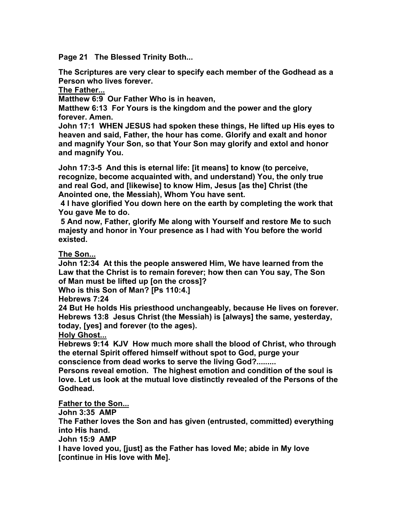**Page 21 The Blessed Trinity Both...** 

**The Scriptures are very clear to specify each member of the Godhead as a Person who lives forever.** 

**The Father...**

**Matthew 6:9 Our Father Who is in heaven,** 

**Matthew 6:13 For Yours is the kingdom and the power and the glory forever. Amen.** 

**John 17:1 WHEN JESUS had spoken these things, He lifted up His eyes to heaven and said, Father, the hour has come. Glorify and exalt and honor and magnify Your Son, so that Your Son may glorify and extol and honor and magnify You.** 

**John 17:3-5 And this is eternal life: [it means] to know (to perceive, recognize, become acquainted with, and understand) You, the only true and real God, and [likewise] to know Him, Jesus [as the] Christ (the Anointed one, the Messiah), Whom You have sent.** 

 **4 I have glorified You down here on the earth by completing the work that You gave Me to do.** 

 **5 And now, Father, glorify Me along with Yourself and restore Me to such majesty and honor in Your presence as I had with You before the world existed.** 

**The Son...**

**John 12:34 At this the people answered Him, We have learned from the Law that the Christ is to remain forever; how then can You say, The Son of Man must be lifted up [on the cross]?** 

**Who is this Son of Man? [Ps 110:4.]** 

**Hebrews 7:24** 

**24 But He holds His priesthood unchangeably, because He lives on forever. Hebrews 13:8 Jesus Christ (the Messiah) is [always] the same, yesterday, today, [yes] and forever (to the ages).** 

**Holy Ghost...**

**Hebrews 9:14 KJV How much more shall the blood of Christ, who through the eternal Spirit offered himself without spot to God, purge your conscience from dead works to serve the living God?.........** 

**Persons reveal emotion. The highest emotion and condition of the soul is love. Let us look at the mutual love distinctly revealed of the Persons of the Godhead.** 

**Father to the Son...**

**John 3:35 AMP** 

**The Father loves the Son and has given (entrusted, committed) everything into His hand.** 

**John 15:9 AMP** 

**I have loved you, [just] as the Father has loved Me; abide in My love [continue in His love with Me].**